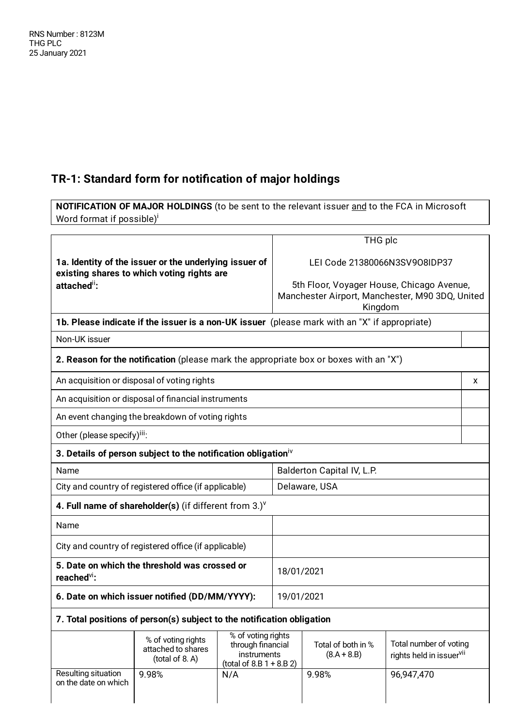## **TR-1: Standard form for notification of major holdings**

**NOTIFICATION OF MAJOR HOLDINGS** (to be sent to the relevant issuer and to the FCA in Microsoft Word format if possible)<sup>i</sup>

|                                                                                                      |                                                                                               |                                                                                      |                                                                                                         | THG plc                             |                                                                |   |
|------------------------------------------------------------------------------------------------------|-----------------------------------------------------------------------------------------------|--------------------------------------------------------------------------------------|---------------------------------------------------------------------------------------------------------|-------------------------------------|----------------------------------------------------------------|---|
| 1a. Identity of the issuer or the underlying issuer of<br>existing shares to which voting rights are |                                                                                               | LEI Code 21380066N3SV908IDP37                                                        |                                                                                                         |                                     |                                                                |   |
| attached":                                                                                           |                                                                                               |                                                                                      | 5th Floor, Voyager House, Chicago Avenue,<br>Manchester Airport, Manchester, M90 3DQ, United<br>Kingdom |                                     |                                                                |   |
|                                                                                                      | 1b. Please indicate if the issuer is a non-UK issuer (please mark with an "X" if appropriate) |                                                                                      |                                                                                                         |                                     |                                                                |   |
| Non-UK issuer                                                                                        |                                                                                               |                                                                                      |                                                                                                         |                                     |                                                                |   |
|                                                                                                      | 2. Reason for the notification (please mark the appropriate box or boxes with an "X")         |                                                                                      |                                                                                                         |                                     |                                                                |   |
|                                                                                                      | An acquisition or disposal of voting rights                                                   |                                                                                      |                                                                                                         |                                     |                                                                | X |
|                                                                                                      | An acquisition or disposal of financial instruments                                           |                                                                                      |                                                                                                         |                                     |                                                                |   |
| An event changing the breakdown of voting rights                                                     |                                                                                               |                                                                                      |                                                                                                         |                                     |                                                                |   |
|                                                                                                      | Other (please specify) <sup>iii</sup> :                                                       |                                                                                      |                                                                                                         |                                     |                                                                |   |
| 3. Details of person subject to the notification obligation <sup><math>iv</math></sup>               |                                                                                               |                                                                                      |                                                                                                         |                                     |                                                                |   |
| Name                                                                                                 |                                                                                               |                                                                                      | Balderton Capital IV, L.P.                                                                              |                                     |                                                                |   |
| City and country of registered office (if applicable)                                                |                                                                                               |                                                                                      |                                                                                                         | Delaware, USA                       |                                                                |   |
| 4. Full name of shareholder(s) (if different from $3.$ )                                             |                                                                                               |                                                                                      |                                                                                                         |                                     |                                                                |   |
| Name                                                                                                 |                                                                                               |                                                                                      |                                                                                                         |                                     |                                                                |   |
|                                                                                                      | City and country of registered office (if applicable)                                         |                                                                                      |                                                                                                         |                                     |                                                                |   |
| 5. Date on which the threshold was crossed or<br>reached <sup>vi</sup> :                             |                                                                                               | 18/01/2021                                                                           |                                                                                                         |                                     |                                                                |   |
| 6. Date on which issuer notified (DD/MM/YYYY):                                                       |                                                                                               | 19/01/2021                                                                           |                                                                                                         |                                     |                                                                |   |
| 7. Total positions of person(s) subject to the notification obligation                               |                                                                                               |                                                                                      |                                                                                                         |                                     |                                                                |   |
|                                                                                                      | % of voting rights<br>attached to shares<br>(total of 8.A)                                    | % of voting rights<br>through financial<br>instruments<br>$(total of 8.B 1 + 8.B 2)$ |                                                                                                         | Total of both in %<br>$(8.A + 8.B)$ | Total number of voting<br>rights held in issuer <sup>vii</sup> |   |
| Resulting situation<br>on the date on which                                                          | 9.98%                                                                                         | N/A                                                                                  |                                                                                                         | 9.98%                               | 96,947,470                                                     |   |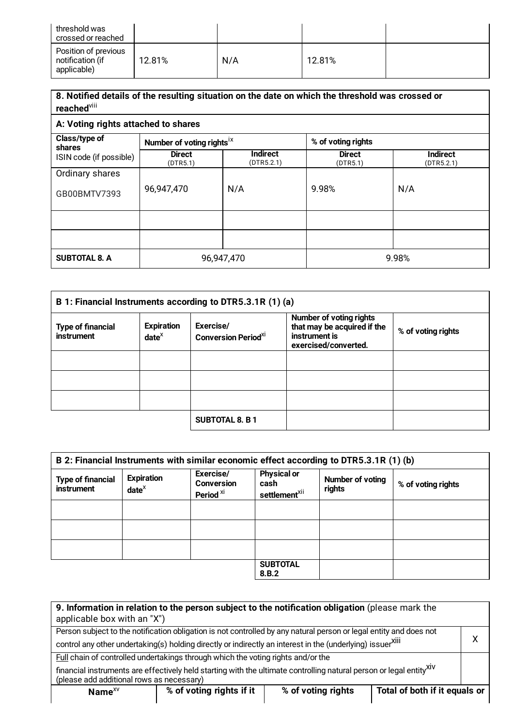| threshold was<br>crossed or reached                     |        |     |        |  |
|---------------------------------------------------------|--------|-----|--------|--|
| Position of previous<br>notification (if<br>applicable) | 12.81% | N/A | 12.81% |  |

## **8. Notified details of the resulting situation on the date on which the threshold was crossed or** reached<sup>viii</sup>

## **A: Voting rights attached to shares**

| Class/type of<br>shares | Number of voting rights <sup>ix</sup> |                               | % of voting rights        |                               |
|-------------------------|---------------------------------------|-------------------------------|---------------------------|-------------------------------|
| ISIN code (if possible) | <b>Direct</b><br>(DTR5.1)             | <b>Indirect</b><br>(DTR5.2.1) | <b>Direct</b><br>(DTR5.1) | <b>Indirect</b><br>(DTR5.2.1) |
| Ordinary shares         |                                       |                               |                           |                               |
| GB00BMTV7393            | 96,947,470                            | N/A                           | 9.98%                     | N/A                           |
|                         |                                       |                               |                           |                               |
|                         |                                       |                               |                           |                               |
| <b>SUBTOTAL 8. A</b>    | 96,947,470                            |                               | 9.98%                     |                               |

|                                        | B 1: Financial Instruments according to DTR5.3.1R (1) (a) |                                                     |                                                                                                 |                    |
|----------------------------------------|-----------------------------------------------------------|-----------------------------------------------------|-------------------------------------------------------------------------------------------------|--------------------|
| <b>Type of financial</b><br>instrument | <b>Expiration</b><br>$date^{\chi}$                        | Exercise/<br><b>Conversion Period</b> <sup>xi</sup> | Number of voting rights<br>that may be acquired if the<br>instrument is<br>exercised/converted. | % of voting rights |
|                                        |                                                           |                                                     |                                                                                                 |                    |
|                                        |                                                           |                                                     |                                                                                                 |                    |
|                                        |                                                           |                                                     |                                                                                                 |                    |
|                                        |                                                           | <b>SUBTOTAL 8. B 1</b>                              |                                                                                                 |                    |

|                                        | B 2: Financial Instruments with similar economic effect according to DTR5.3.1R (1) (b) |                                                        |                                                         |                            |                    |
|----------------------------------------|----------------------------------------------------------------------------------------|--------------------------------------------------------|---------------------------------------------------------|----------------------------|--------------------|
| <b>Type of financial</b><br>instrument | <b>Expiration</b><br>$date^x$                                                          | Exercise/<br><b>Conversion</b><br>Period <sup>xi</sup> | <b>Physical or</b><br>cash<br>settlement <sup>xii</sup> | Number of voting<br>rights | % of voting rights |
|                                        |                                                                                        |                                                        |                                                         |                            |                    |
|                                        |                                                                                        |                                                        |                                                         |                            |                    |
|                                        |                                                                                        |                                                        |                                                         |                            |                    |
|                                        |                                                                                        |                                                        | <b>SUBTOTAL</b><br>8.B.2                                |                            |                    |

| 9. Information in relation to the person subject to the notification obligation (please mark the<br>applicable box with an "X")                                   |                                                                                                                    |                    |                               |  |
|-------------------------------------------------------------------------------------------------------------------------------------------------------------------|--------------------------------------------------------------------------------------------------------------------|--------------------|-------------------------------|--|
|                                                                                                                                                                   | Person subject to the notification obligation is not controlled by any natural person or legal entity and does not |                    |                               |  |
| control any other undertaking(s) holding directly or indirectly an interest in the (underlying) issuerXIII                                                        |                                                                                                                    |                    |                               |  |
| Full chain of controlled undertakings through which the voting rights and/or the                                                                                  |                                                                                                                    |                    |                               |  |
| financial instruments are effectively held starting with the ultimate controlling natural person or legal entity XIV<br>(please add additional rows as necessary) |                                                                                                                    |                    |                               |  |
| Name $XV$                                                                                                                                                         | % of voting rights if it                                                                                           | % of voting rights | Total of both if it equals or |  |